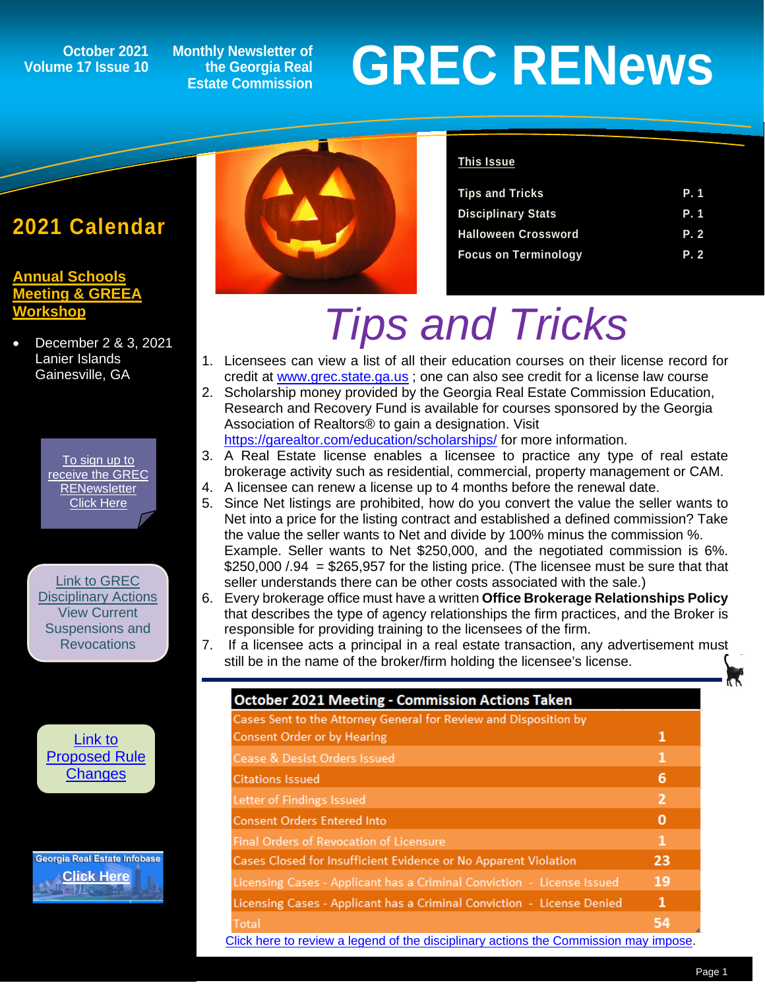## **Volume 17 Issue 10**

**Monthly Newsletter of the Georgia Real Estate Commission**

# **GREC RENEWS**<br>
Estate Commission<br>
Estate Commission

### **2021 Calendar**

#### **[Annual Schools](http://www.annualschoolmeeting.com/asm/welcome/)  Adding & GREEA [Workshop](http://www.annualschoolmeeting.com/asm/welcome/)**

• December 2 & 3, 2021 Lanier Islands Gainesville, GA

> [To sign up to](https://grec.state.ga.us/newsletters/)  [receive the GREC](https://grec.state.ga.us/newsletters/)  **RENewsletter** [Click Here](https://grec.state.ga.us/newsletters/)

[Link to GREC](https://grec.state.ga.us/information-research/disciplinary-actions/real-estate/)  **[Disciplinary Actions](https://grec.state.ga.us/information-research/disciplinary-actions/real-estate/)** View Current Suspensions and **Revocations** 

[Link to](https://grec.state.ga.us/information-research/legislation/real-estate/)  [Proposed Rule](https://grec.state.ga.us/information-research/legislation/real-estate/)  **[Changes](https://grec.state.ga.us/information-research/legislation/real-estate/)** 

Georgia Real Estate Infobase **[Click Here](https://www.grec.state.ga.us/infobase/infobase.html)**



#### **This Issue**

| <b>Tips and Tricks</b>      | P. 1 |
|-----------------------------|------|
| <b>Disciplinary Stats</b>   | P. 1 |
| <b>Halloween Crossword</b>  | P. 2 |
| <b>Focus on Terminology</b> | P. 2 |

# *Tips and Tricks*

- 1. Licensees can view a list of all their education courses on their license record for credit at [www.grec.state.ga.us](http://www.grec.state.ga.us/) ; one can also see credit for a license law course
- 2. Scholarship money provided by the Georgia Real Estate Commission Education, Research and Recovery Fund is available for courses sponsored by the Georgia Association of Realtors® to gain a designation. Visit <https://garealtor.com/education/scholarships/> for more information.
- 3. A Real Estate license enables a licensee to practice any type of real estate brokerage activity such as residential, commercial, property management or CAM.
- 4. A licensee can renew a license up to 4 months before the renewal date.
- 5. Since Net listings are prohibited, how do you convert the value the seller wants to Net into a price for the listing contract and established a defined commission? Take the value the seller wants to Net and divide by 100% minus the commission %. Example. Seller wants to Net \$250,000, and the negotiated commission is 6%.  $$250,000 / .94 = $265,957$  for the listing price. (The licensee must be sure that that seller understands there can be other costs associated with the sale.)
- 6. Every brokerage office must have a written **Office Brokerage Relationships Policy** that describes the type of agency relationships the firm practices, and the Broker is responsible for providing training to the licensees of the firm.
- 7. If a licensee acts a principal in a real estate transaction, any advertisement must still be in the name of the broker/firm holding the licensee's license.

| <b>October 2021 Meeting - Commission Actions Taken</b>                               |    |
|--------------------------------------------------------------------------------------|----|
| Cases Sent to the Attorney General for Review and Disposition by                     |    |
| <b>Consent Order or by Hearing</b>                                                   | 1  |
| Cease & Desist Orders Issued                                                         | 1  |
| <b>Citations Issued</b>                                                              | 6  |
| Letter of Findings Issued                                                            | 2  |
| <b>Consent Orders Entered Into</b>                                                   | 0  |
| <b>Final Orders of Revocation of Licensure</b>                                       | 1  |
| Cases Closed for Insufficient Evidence or No Apparent Violation                      | 23 |
| Licensing Cases - Applicant has a Criminal Conviction - License Issued               | 19 |
| Licensing Cases - Applicant has a Criminal Conviction - License Denied               | 1  |
| Total                                                                                | 54 |
| Click here to review a legend of the disciplinary actions the Commission may impose. |    |